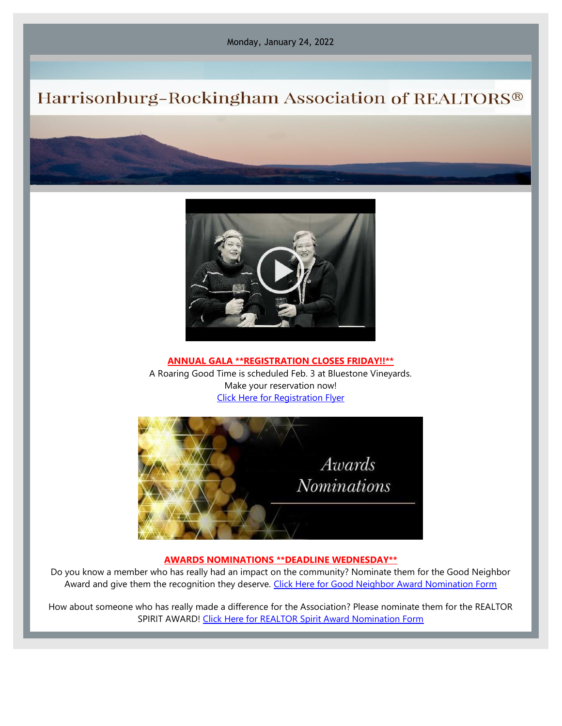Monday, January 24, 2022

## Harrisonburg-Rockingham Association of REALTORS®



**ANNUAL GALA \*\*REGISTRATION CLOSES FRIDAY!!\*\*** A Roaring Good Time is scheduled Feb. 3 at Bluestone Vineyards. Make your reservation now! [Click Here for Registration Flyer](https://files.constantcontact.com/917f92b5101/d48eb41f-6523-4eda-8c02-29db40466d47.pdf)



### **AWARDS NOMINATIONS \*\*DEADLINE WEDNESDAY\*\***

Do you know a member who has really had an impact on the community? Nominate them for the Good Neighbor Award and give them the recognition they deserve. [Click Here for Good Neighbor Award Nomination Form](https://files.constantcontact.com/917f92b5101/85f45a48-6384-4754-a775-c700770a02e9.pdf)

How about someone who has really made a difference for the Association? Please nominate them for the REALTOR SPIRIT AWARD! [Click Here for REALTOR Spirit Award Nomination Form](https://files.constantcontact.com/917f92b5101/f46aa507-b453-4edb-8b56-94db569e1427.pdf)